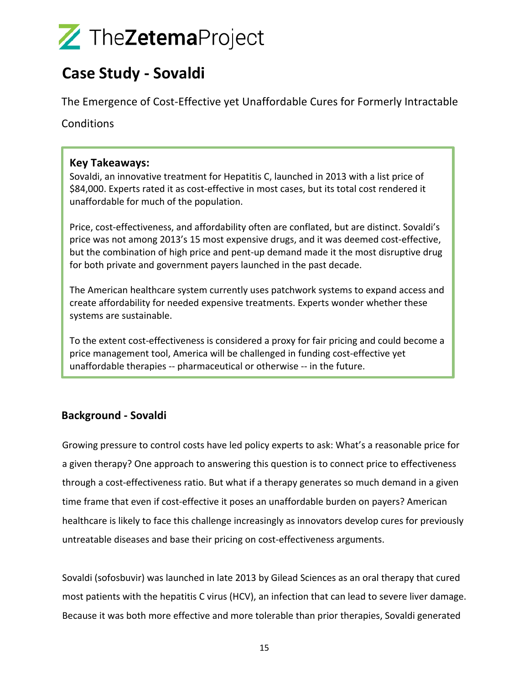### **Case Study - Sovaldi**

The Emergence of Cost-Effective yet Unaffordable Cures for Formerly Intractable

Conditions

#### **Key Takeaways:**

Sovaldi, an innovative treatment for Hepatitis C, launched in 2013 with a list price of \$84,000. Experts rated it as cost-effective in most cases, but its total cost rendered it unaffordable for much of the population.

Price, cost-effectiveness, and affordability often are conflated, but are distinct. Sovaldi's price was not among 2013's 15 most expensive drugs, and it was deemed cost-effective, but the combination of high price and pent-up demand made it the most disruptive drug for both private and government payers launched in the past decade.

The American healthcare system currently uses patchwork systems to expand access and create affordability for needed expensive treatments. Experts wonder whether these systems are sustainable.

To the extent cost-effectiveness is considered a proxy for fair pricing and could become a price management tool, America will be challenged in funding cost-effective yet unaffordable therapies -- pharmaceutical or otherwise -- in the future.

#### **Background - Sovaldi**

Growing pressure to control costs have led policy experts to ask: What's a reasonable price for a given therapy? One approach to answering this question is to connect price to effectiveness through a cost-effectiveness ratio. But what if a therapy generates so much demand in a given time frame that even if cost-effective it poses an unaffordable burden on payers? American healthcare is likely to face this challenge increasingly as innovators develop cures for previously untreatable diseases and base their pricing on cost-effectiveness arguments.

Sovaldi (sofosbuvir) was launched in late 2013 by Gilead Sciences as an oral therapy that cured most patients with the hepatitis C virus (HCV), an infection that can lead to severe liver damage. Because it was both more effective and more tolerable than prior therapies, Sovaldi generated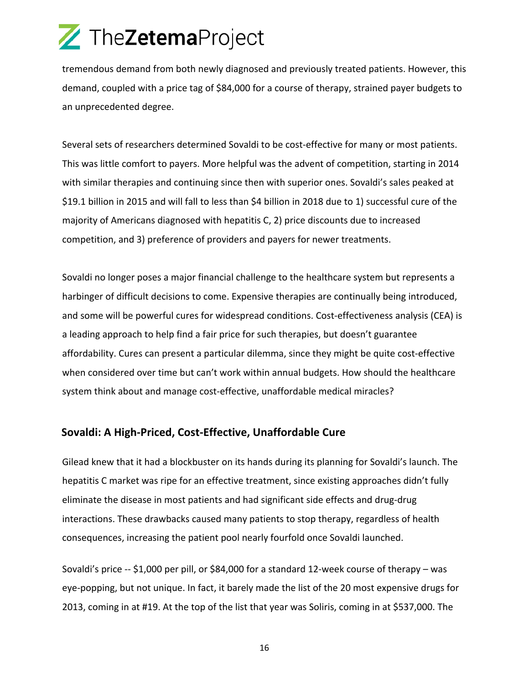tremendous demand from both newly diagnosed and previously treated patients. However, this demand, coupled with a price tag of \$84,000 for a course of therapy, strained payer budgets to an unprecedented degree.

Several sets of researchers determined Sovaldi to be cost-effective for many or most patients. This was little comfort to payers. More helpful was the advent of competition, starting in 2014 with similar therapies and continuing since then with superior ones. Sovaldi's sales peaked at \$19.1 billion in 2015 and will fall to less than \$4 billion in 2018 due to 1) successful cure of the majority of Americans diagnosed with hepatitis C, 2) price discounts due to increased competition, and 3) preference of providers and payers for newer treatments.

Sovaldi no longer poses a major financial challenge to the healthcare system but represents a harbinger of difficult decisions to come. Expensive therapies are continually being introduced, and some will be powerful cures for widespread conditions. Cost-effectiveness analysis (CEA) is a leading approach to help find a fair price for such therapies, but doesn't guarantee affordability. Cures can present a particular dilemma, since they might be quite cost-effective when considered over time but can't work within annual budgets. How should the healthcare system think about and manage cost-effective, unaffordable medical miracles?

#### **Sovaldi: A High-Priced, Cost-Effective, Unaffordable Cure**

Gilead knew that it had a blockbuster on its hands during its planning for Sovaldi's launch. The hepatitis C market was ripe for an effective treatment, since existing approaches didn't fully eliminate the disease in most patients and had significant side effects and drug-drug interactions. These drawbacks caused many patients to stop therapy, regardless of health consequences, increasing the patient pool nearly fourfold once Sovaldi launched.

Sovaldi's price -- \$1,000 per pill, or \$84,000 for a standard 12-week course of therapy – was eye-popping, but not unique. In fact, it barely made the list of the 20 most expensive drugs for 2013, coming in at #19. At the top of the list that year was Soliris, coming in at \$537,000. The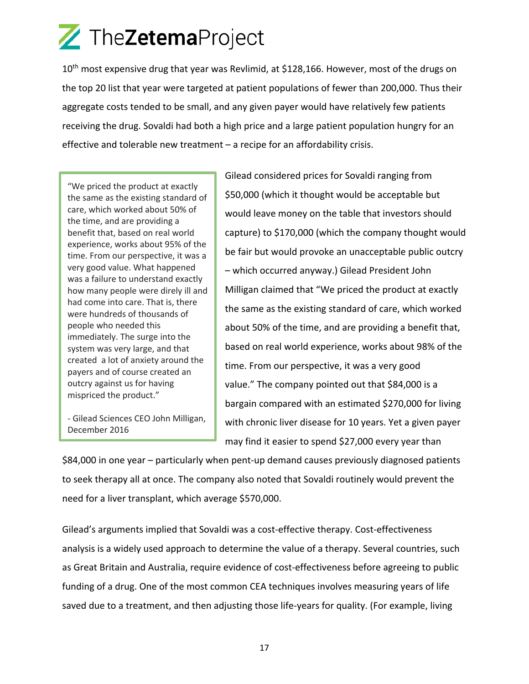10<sup>th</sup> most expensive drug that year was Revlimid, at \$128,166. However, most of the drugs on the top 20 list that year were targeted at patient populations of fewer than 200,000. Thus their aggregate costs tended to be small, and any given payer would have relatively few patients receiving the drug. Sovaldi had both a high price and a large patient population hungry for an effective and tolerable new treatment – a recipe for an affordability crisis.

"We priced the product at exactly the same as the existing standard of care, which worked about 50% of the time, and are providing a benefit that, based on real world experience, works about 95% of the time. From our perspective, it was a very good value. What happened was a failure to understand exactly how many people were direly ill and had come into care. That is, there were hundreds of thousands of people who needed this immediately. The surge into the system was very large, and that created a lot of anxiety around the payers and of course created an outcry against us for having mispriced the product."

- Gilead Sciences CEO John Milligan, December 2016

Gilead considered prices for Sovaldi ranging from \$50,000 (which it thought would be acceptable but would leave money on the table that investors should capture) to \$170,000 (which the company thought would be fair but would provoke an unacceptable public outcry – which occurred anyway.) Gilead President John Milligan claimed that "We priced the product at exactly the same as the existing standard of care, which worked about 50% of the time, and are providing a benefit that, based on real world experience, works about 98% of the time. From our perspective, it was a very good value." The company pointed out that \$84,000 is a bargain compared with an estimated \$270,000 for living with chronic liver disease for 10 years. Yet a given payer may find it easier to spend \$27,000 every year than

\$84,000 in one year – particularly when pent-up demand causes previously diagnosed patients to seek therapy all at once. The company also noted that Sovaldi routinely would prevent the need for a liver transplant, which average \$570,000.

Gilead's arguments implied that Sovaldi was a cost-effective therapy. Cost-effectiveness analysis is a widely used approach to determine the value of a therapy. Several countries, such as Great Britain and Australia, require evidence of cost-effectiveness before agreeing to public funding of a drug. One of the most common CEA techniques involves measuring years of life saved due to a treatment, and then adjusting those life-years for quality. (For example, living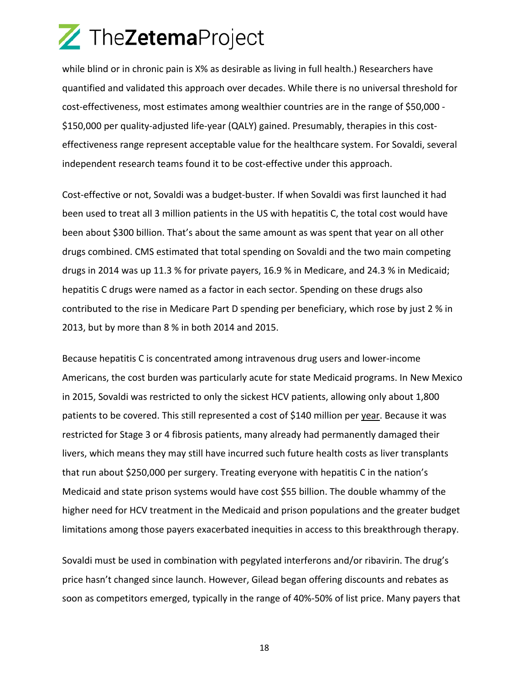while blind or in chronic pain is X% as desirable as living in full health.) Researchers have quantified and validated this approach over decades. While there is no universal threshold for cost-effectiveness, most estimates among wealthier countries are in the range of \$50,000 - \$150,000 per quality-adjusted life-year (QALY) gained. Presumably, therapies in this costeffectiveness range represent acceptable value for the healthcare system. For Sovaldi, several independent research teams found it to be cost-effective under this approach.

Cost-effective or not, Sovaldi was a budget-buster. If when Sovaldi was first launched it had been used to treat all 3 million patients in the US with hepatitis C, the total cost would have been about \$300 billion. That's about the same amount as was spent that year on all other drugs combined. CMS estimated that total spending on Sovaldi and the two main competing drugs in 2014 was up 11.3 % for private payers, 16.9 % in Medicare, and 24.3 % in Medicaid; hepatitis C drugs were named as a factor in each sector. Spending on these drugs also contributed to the rise in Medicare Part D spending per beneficiary, which rose by just 2 % in 2013, but by more than 8 % in both 2014 and 2015.

Because hepatitis C is concentrated among intravenous drug users and lower-income Americans, the cost burden was particularly acute for state Medicaid programs. In New Mexico in 2015, Sovaldi was restricted to only the sickest HCV patients, allowing only about 1,800 patients to be covered. This still represented a cost of \$140 million per year. Because it was restricted for Stage 3 or 4 fibrosis patients, many already had permanently damaged their livers, which means they may still have incurred such future health costs as liver transplants that run about \$250,000 per surgery. Treating everyone with hepatitis C in the nation's Medicaid and state prison systems would have cost \$55 billion. The double whammy of the higher need for HCV treatment in the Medicaid and prison populations and the greater budget limitations among those payers exacerbated inequities in access to this breakthrough therapy.

Sovaldi must be used in combination with pegylated interferons and/or ribavirin. The drug's price hasn't changed since launch. However, Gilead began offering discounts and rebates as soon as competitors emerged, typically in the range of 40%-50% of list price. Many payers that

18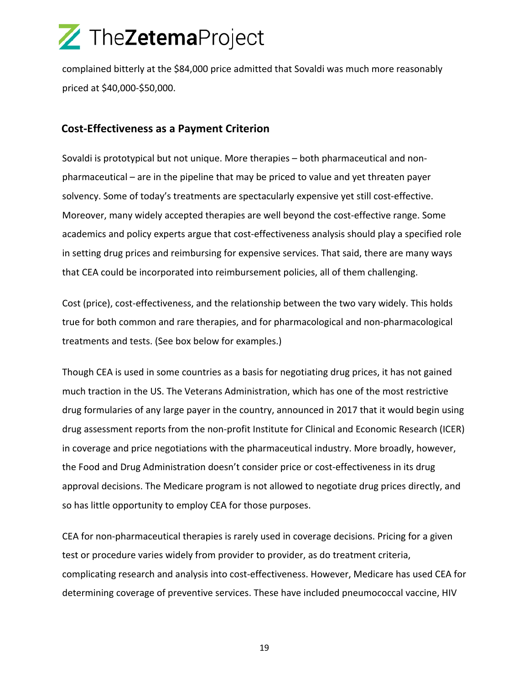complained bitterly at the \$84,000 price admitted that Sovaldi was much more reasonably priced at \$40,000-\$50,000.

#### **Cost-Effectiveness as a Payment Criterion**

Sovaldi is prototypical but not unique. More therapies – both pharmaceutical and nonpharmaceutical – are in the pipeline that may be priced to value and yet threaten payer solvency. Some of today's treatments are spectacularly expensive yet still cost-effective. Moreover, many widely accepted therapies are well beyond the cost-effective range. Some academics and policy experts argue that cost-effectiveness analysis should play a specified role in setting drug prices and reimbursing for expensive services. That said, there are many ways that CEA could be incorporated into reimbursement policies, all of them challenging.

Cost (price), cost-effectiveness, and the relationship between the two vary widely. This holds true for both common and rare therapies, and for pharmacological and non-pharmacological treatments and tests. (See box below for examples.)

Though CEA is used in some countries as a basis for negotiating drug prices, it has not gained much traction in the US. The Veterans Administration, which has one of the most restrictive drug formularies of any large payer in the country, announced in 2017 that it would begin using drug assessment reports from the non-profit Institute for Clinical and Economic Research (ICER) in coverage and price negotiations with the pharmaceutical industry. More broadly, however, the Food and Drug Administration doesn't consider price or cost-effectiveness in its drug approval decisions. The Medicare program is not allowed to negotiate drug prices directly, and so has little opportunity to employ CEA for those purposes.

CEA for non-pharmaceutical therapies is rarely used in coverage decisions. Pricing for a given test or procedure varies widely from provider to provider, as do treatment criteria, complicating research and analysis into cost-effectiveness. However, Medicare has used CEA for determining coverage of preventive services. These have included pneumococcal vaccine, HIV

19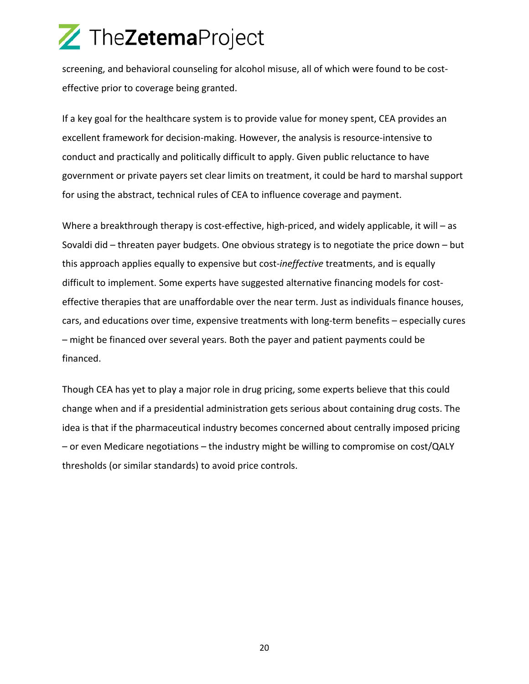screening, and behavioral counseling for alcohol misuse, all of which were found to be costeffective prior to coverage being granted.

If a key goal for the healthcare system is to provide value for money spent, CEA provides an excellent framework for decision-making. However, the analysis is resource-intensive to conduct and practically and politically difficult to apply. Given public reluctance to have government or private payers set clear limits on treatment, it could be hard to marshal support for using the abstract, technical rules of CEA to influence coverage and payment.

Where a breakthrough therapy is cost-effective, high-priced, and widely applicable, it will – as Sovaldi did – threaten payer budgets. One obvious strategy is to negotiate the price down – but this approach applies equally to expensive but cost-*ineffective* treatments, and is equally difficult to implement. Some experts have suggested alternative financing models for costeffective therapies that are unaffordable over the near term. Just as individuals finance houses, cars, and educations over time, expensive treatments with long-term benefits – especially cures – might be financed over several years. Both the payer and patient payments could be financed.

Though CEA has yet to play a major role in drug pricing, some experts believe that this could change when and if a presidential administration gets serious about containing drug costs. The idea is that if the pharmaceutical industry becomes concerned about centrally imposed pricing – or even Medicare negotiations – the industry might be willing to compromise on cost/QALY thresholds (or similar standards) to avoid price controls.

20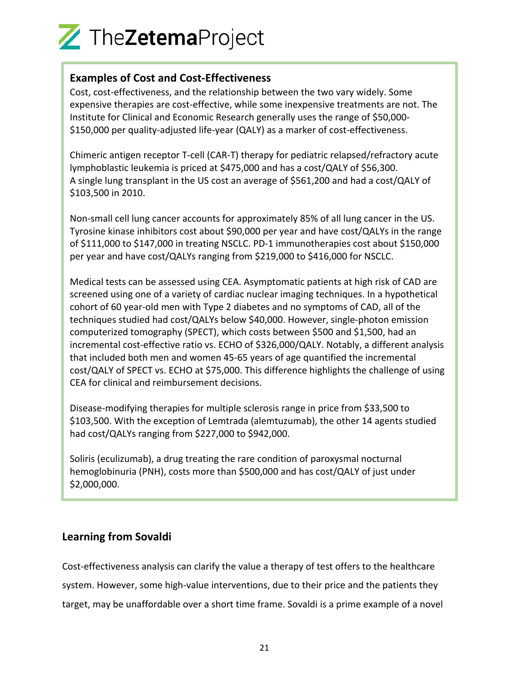#### **Examples of Cost and Cost-Effectiveness**

Cost, cost-effectiveness, and the relationship between the two vary widely. Some expensive therapies are cost-effective, while some inexpensive treatments are not. The Institute for Clinical and Economic Research generally uses the range of \$50,000- \$150,000 per quality-adjusted life-year (QALY) as a marker of cost-effectiveness.

Chimeric antigen receptor T-cell (CAR-T) therapy for pediatric relapsed/refractory acute lymphoblastic leukemia is priced at \$475,000 and has a cost/QALY of \$56,300. A single lung transplant in the US cost an average of \$561,200 and had a cost/QALY of \$103,500 in 2010.

Non-small cell lung cancer accounts for approximately 85% of all lung cancer in the US. Tyrosine kinase inhibitors cost about \$90,000 per year and have cost/QALYs in the range of \$111,000 to \$147,000 in treating NSCLC. PD-1 immunotherapies cost about \$150,000 per year and have cost/QALYs ranging from \$219,000 to \$416,000 for NSCLC.

Medical tests can be assessed using CEA. Asymptomatic patients at high risk of CAD are screened using one of a variety of cardiac nuclear imaging techniques. In a hypothetical cohort of 60 year-old men with Type 2 diabetes and no symptoms of CAD, all of the techniques studied had cost/QALYs below \$40,000. However, single-photon emission computerized tomography (SPECT), which costs between \$500 and \$1,500, had an incremental cost-effective ratio vs. ECHO of \$326,000/QALY. Notably, a different analysis that included both men and women 45-65 years of age quantified the incremental cost/QALY of SPECT vs. ECHO at \$75,000. This difference highlights the challenge of using CEA for clinical and reimbursement decisions.

Disease-modifying therapies for multiple sclerosis range in price from \$33,500 to \$103,500. With the exception of Lemtrada (alemtuzumab), the other 14 agents studied had cost/QALYs ranging from \$227,000 to \$942,000.

Soliris (eculizumab), a drug treating the rare condition of paroxysmal nocturnal hemoglobinuria (PNH), costs more than \$500,000 and has cost/QALY of just under \$2,000,000.

#### **Learning from Sovaldi**

Cost-effectiveness analysis can clarify the value a therapy of test offers to the healthcare system. However, some high-value interventions, due to their price and the patients they target, may be unaffordable over a short time frame. Sovaldi is a prime example of a novel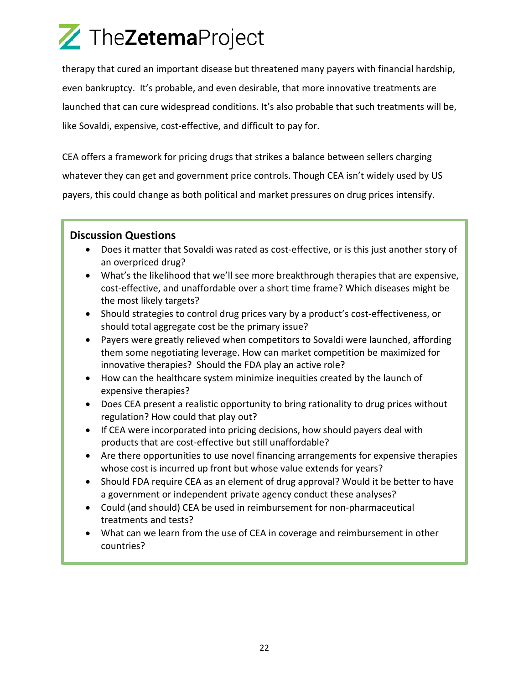therapy that cured an important disease but threatened many payers with financial hardship, even bankruptcy. It's probable, and even desirable, that more innovative treatments are launched that can cure widespread conditions. It's also probable that such treatments will be, like Sovaldi, expensive, cost-effective, and difficult to pay for.

CEA offers a framework for pricing drugs that strikes a balance between sellers charging whatever they can get and government price controls. Though CEA isn't widely used by US payers, this could change as both political and market pressures on drug prices intensify.

#### **Discussion Questions**

- Does it matter that Sovaldi was rated as cost-effective, or is this just another story of an overpriced drug?
- What's the likelihood that we'll see more breakthrough therapies that are expensive, cost-effective, and unaffordable over a short time frame? Which diseases might be the most likely targets?
- Should strategies to control drug prices vary by a product's cost-effectiveness, or should total aggregate cost be the primary issue?
- Payers were greatly relieved when competitors to Sovaldi were launched, affording them some negotiating leverage. How can market competition be maximized for innovative therapies? Should the FDA play an active role?
- How can the healthcare system minimize inequities created by the launch of expensive therapies?
- Does CEA present a realistic opportunity to bring rationality to drug prices without regulation? How could that play out?
- If CEA were incorporated into pricing decisions, how should payers deal with products that are cost-effective but still unaffordable?
- Are there opportunities to use novel financing arrangements for expensive therapies whose cost is incurred up front but whose value extends for years?
- Should FDA require CEA as an element of drug approval? Would it be better to have a government or independent private agency conduct these analyses?
- Could (and should) CEA be used in reimbursement for non-pharmaceutical treatments and tests?
- What can we learn from the use of CEA in coverage and reimbursement in other countries?